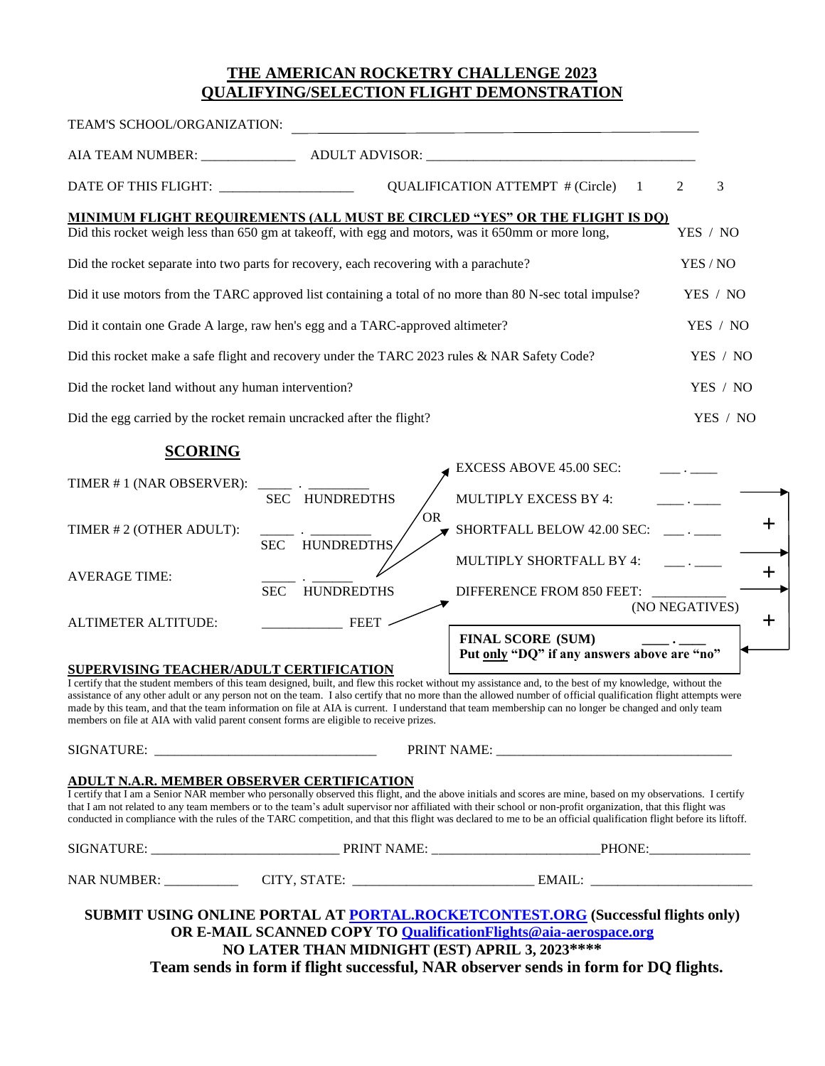## **THE AMERICAN ROCKETRY CHALLENGE 2023 QUALIFYING/SELECTION FLIGHT DEMONSTRATION**

| TEAM'S SCHOOL/ORGANIZATION:                                                                              |                                 |                                                                                                                                                                                                                                                                                                                                                                                                                                                                                      |                |
|----------------------------------------------------------------------------------------------------------|---------------------------------|--------------------------------------------------------------------------------------------------------------------------------------------------------------------------------------------------------------------------------------------------------------------------------------------------------------------------------------------------------------------------------------------------------------------------------------------------------------------------------------|----------------|
| AIA TEAM NUMBER: ______________                                                                          |                                 |                                                                                                                                                                                                                                                                                                                                                                                                                                                                                      |                |
| DATE OF THIS FLIGHT: __________________                                                                  |                                 | <b>QUALIFICATION ATTEMPT # (Circle)</b><br>1                                                                                                                                                                                                                                                                                                                                                                                                                                         | 3<br>2         |
|                                                                                                          |                                 | <u>MINIMUM FLIGHT REQUIREMENTS (ALL MUST BE CIRCLED "YES" OR THE FLIGHT IS DQ)</u><br>Did this rocket weigh less than 650 gm at takeoff, with egg and motors, was it 650mm or more long,                                                                                                                                                                                                                                                                                             | YES / NO       |
| Did the rocket separate into two parts for recovery, each recovering with a parachute?                   |                                 |                                                                                                                                                                                                                                                                                                                                                                                                                                                                                      | YES / NO       |
| Did it use motors from the TARC approved list containing a total of no more than 80 N-sec total impulse? |                                 |                                                                                                                                                                                                                                                                                                                                                                                                                                                                                      | YES / NO       |
| Did it contain one Grade A large, raw hen's egg and a TARC-approved altimeter?                           |                                 |                                                                                                                                                                                                                                                                                                                                                                                                                                                                                      | YES / NO       |
| Did this rocket make a safe flight and recovery under the TARC 2023 rules & NAR Safety Code?             |                                 |                                                                                                                                                                                                                                                                                                                                                                                                                                                                                      | YES / NO       |
| Did the rocket land without any human intervention?                                                      |                                 |                                                                                                                                                                                                                                                                                                                                                                                                                                                                                      | YES / NO       |
| Did the egg carried by the rocket remain uncracked after the flight?                                     |                                 |                                                                                                                                                                                                                                                                                                                                                                                                                                                                                      | YES / NO       |
| <b>SCORING</b>                                                                                           |                                 | <b>EXCESS ABOVE 45.00 SEC:</b>                                                                                                                                                                                                                                                                                                                                                                                                                                                       |                |
| TIMER #1 (NAR OBSERVER):                                                                                 | SEC HUNDREDTHS                  | MULTIPLY EXCESS BY 4:                                                                                                                                                                                                                                                                                                                                                                                                                                                                |                |
| TIMER #2 (OTHER ADULT):                                                                                  | <b>HUNDREDTHS</b><br><b>SEC</b> | <b>OR</b><br>SHORTFALL BELOW 42.00 SEC:                                                                                                                                                                                                                                                                                                                                                                                                                                              |                |
| <b>AVERAGE TIME:</b>                                                                                     |                                 | MULTIPLY SHORTFALL BY 4:                                                                                                                                                                                                                                                                                                                                                                                                                                                             | $\pm$          |
|                                                                                                          | <b>HUNDREDTHS</b><br><b>SEC</b> | DIFFERENCE FROM 850 FEET:                                                                                                                                                                                                                                                                                                                                                                                                                                                            | (NO NEGATIVES) |
| <b>ALTIMETER ALTITUDE:</b>                                                                               | <b>FEET</b>                     | <b>FINAL SCORE (SUM)</b>                                                                                                                                                                                                                                                                                                                                                                                                                                                             | $\pm$          |
| SUPERVISING TEACHER/ADULT CERTIFICATION                                                                  |                                 | Put only "DQ" if any answers above are "no"                                                                                                                                                                                                                                                                                                                                                                                                                                          |                |
|                                                                                                          |                                 | I certify that the student members of this team designed, built, and flew this rocket without my assistance and, to the best of my knowledge, without the<br>assistance of any other adult or any person not on the team. I also certify that no more than the allowed number of official qualification flight attempts were<br>made by this team, and that the team information on file at AIA is current. I understand that team membership can no longer be changed and only team |                |

made team information on the team in team information on team in term on team membership can no longer be changed a<br> members on file at AIA with valid parent consent forms are eligible to receive prizes.

SIGNATURE: \_\_\_\_\_\_\_\_\_\_\_\_\_\_\_\_\_\_\_\_\_\_\_\_\_\_\_\_\_\_\_\_\_ PRINT NAME: \_\_\_\_\_\_\_\_\_\_\_\_\_\_\_\_\_\_\_\_\_\_\_\_\_\_\_\_\_\_\_\_\_\_\_ **ADULT N.A.R. MEMBER OBSERVER CERTIFICATION**  I certify that I am a Senior NAR member who personally observed this flight, and the above initials and scores are mine, based on my observations. I certify that I am not related to any team members or to the team's adult supervisor nor affiliated with their school or non-profit organization, that this flight was conducted in compliance with the rules of the TARC competition, and that this flight was declared to me to be an official qualification flight before its liftoff. SIGNATURE: \_\_\_\_\_\_\_\_\_\_\_\_\_\_\_\_\_\_\_\_\_\_\_\_\_\_\_\_ PRINT NAME: \_\_\_\_\_\_\_\_\_\_\_\_\_\_\_\_\_\_\_\_\_\_\_\_\_PHONE:\_\_\_\_\_\_\_\_\_\_\_\_\_\_\_ NAR NUMBER: \_\_\_\_\_\_\_\_\_\_\_ CITY, STATE: \_\_\_\_\_\_\_\_\_\_\_\_\_\_\_\_\_\_\_\_\_\_\_\_\_\_\_ EMAIL: \_\_\_\_\_\_\_\_\_\_\_\_\_\_\_\_\_\_\_\_\_\_\_\_

**SUBMIT USING ONLINE PORTAL AT [PORTAL.ROCKETCONTEST.ORG](https://aiaaerospace-my.sharepoint.com/personal/AppData/Local/Microsoft/Windows/AppData/Local/Microsoft/Windows/INetCache/Content.Outlook/GLUN119Z/PORTAL.ROCKETCONTEST.ORG) (Successful flights only) OR E-MAIL SCANNED COPY TO [QualificationFlights@aia-aerospace.org](mailto:QualificationFlights@aia-aerospace.org) NO LATER THAN MIDNIGHT (EST) APRIL 3, 2023\*\*\*\* Team sends in form if flight successful, NAR observer sends in form for DQ flights.**